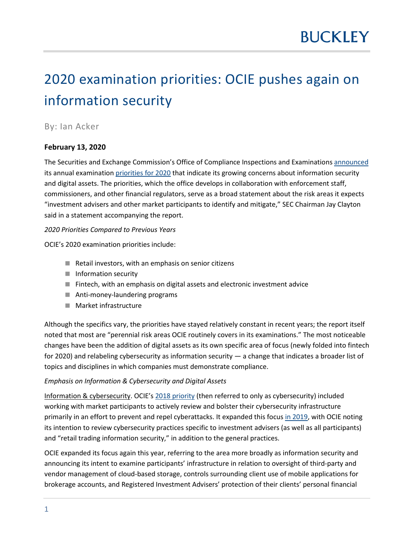# 2020 examination priorities: OCIE pushes again on information security

## By: Ian Acker

## **February 13, 2020**

The Securities and Exchange Commission's Office of Compliance Inspections and Examinations [announced](https://www.sec.gov/news/press-release/2020-4) its annual examination [priorities for 2020](https://www.sec.gov/about/offices/ocie/national-examination-program-priorities-2020.pdf) that indicate its growing concerns about information security and digital assets. The priorities, which the office develops in collaboration with enforcement staff, commissioners, and other financial regulators, serve as a broad statement about the risk areas it expects "investment advisers and other market participants to identify and mitigate," SEC Chairman Jay Clayton said in a statement accompanying the report.

### *2020 Priorities Compared to Previous Years*

OCIE's 2020 examination priorities include:

- Retail investors, with an emphasis on senior citizens
- Information security
- Fintech, with an emphasis on digital assets and electronic investment advice
- Anti-money-laundering programs
- **Market infrastructure**

Although the specifics vary, the priorities have stayed relatively constant in recent years; the report itself noted that most are "perennial risk areas OCIE routinely covers in its examinations." The most noticeable changes have been the addition of digital assets as its own specific area of focus (newly folded into fintech for 2020) and relabeling cybersecurity as information security — a change that indicates a broader list of topics and disciplines in which companies must demonstrate compliance.

### *Emphasis on Information & Cybersecurity and Digital Assets*

Information & cybersecurity. OCIE's [2018 priority](https://www.sec.gov/about/offices/ocie/national-examination-program-priorities-2018.pdf) (then referred to only as cybersecurity) included working with market participants to actively review and bolster their cybersecurity infrastructure primarily in an effort to prevent and repel cyberattacks. It expanded this focus [in 2019,](https://www.sec.gov/files/OCIE%202019%20Priorities.pdf) with OCIE noting its intention to review cybersecurity practices specific to investment advisers (as well as all participants) and "retail trading information security," in addition to the general practices.

OCIE expanded its focus again this year, referring to the area more broadly as information security and announcing its intent to examine participants' infrastructure in relation to oversight of third-party and vendor management of cloud-based storage, controls surrounding client use of mobile applications for brokerage accounts, and Registered Investment Advisers' protection of their clients' personal financial